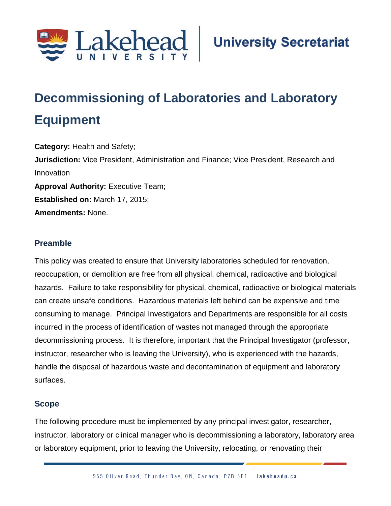

# **Decommissioning of Laboratories and Laboratory Equipment**

**Category:** Health and Safety; **Jurisdiction:** Vice President, Administration and Finance; Vice President, Research and Innovation **Approval Authority: Executive Team; Established on:** March 17, 2015; **Amendments:** None.

# **Preamble**

This policy was created to ensure that University laboratories scheduled for renovation, reoccupation, or demolition are free from all physical, chemical, radioactive and biological hazards. Failure to take responsibility for physical, chemical, radioactive or biological materials can create unsafe conditions. Hazardous materials left behind can be expensive and time consuming to manage. Principal Investigators and Departments are responsible for all costs incurred in the process of identification of wastes not managed through the appropriate decommissioning process. It is therefore, important that the Principal Investigator (professor, instructor, researcher who is leaving the University), who is experienced with the hazards, handle the disposal of hazardous waste and decontamination of equipment and laboratory surfaces.

## **Scope**

The following procedure must be implemented by any principal investigator, researcher, instructor, laboratory or clinical manager who is decommissioning a laboratory, laboratory area or laboratory equipment, prior to leaving the University, relocating, or renovating their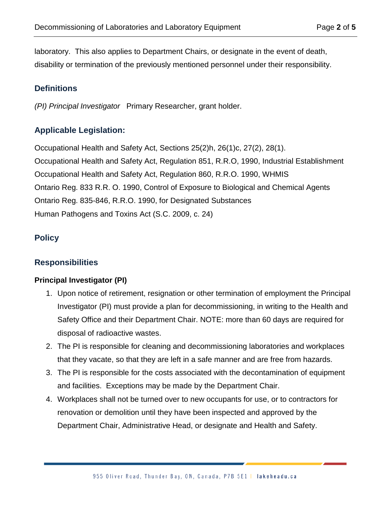laboratory. This also applies to Department Chairs, or designate in the event of death, disability or termination of the previously mentioned personnel under their responsibility.

# **Definitions**

*(PI) Principal Investigator* Primary Researcher, grant holder.

# **Applicable Legislation:**

Occupational Health and Safety Act, Sections 25(2)h, 26(1)c, 27(2), 28(1). Occupational Health and Safety Act, Regulation 851, R.R.O, 1990, Industrial Establishment Occupational Health and Safety Act, Regulation 860, R.R.O. 1990, WHMIS Ontario Reg. 833 R.R. O. 1990, Control of Exposure to Biological and Chemical Agents Ontario Reg. 835-846, R.R.O. 1990, for Designated Substances Human Pathogens and Toxins Act (S.C. 2009, c. 24)

# **Policy**

# **Responsibilities**

## **Principal Investigator (PI)**

- 1. Upon notice of retirement, resignation or other termination of employment the Principal Investigator (PI) must provide a plan for decommissioning, in writing to the Health and Safety Office and their Department Chair. NOTE: more than 60 days are required for disposal of radioactive wastes.
- 2. The PI is responsible for cleaning and decommissioning laboratories and workplaces that they vacate, so that they are left in a safe manner and are free from hazards.
- 3. The PI is responsible for the costs associated with the decontamination of equipment and facilities. Exceptions may be made by the Department Chair.
- 4. Workplaces shall not be turned over to new occupants for use, or to contractors for renovation or demolition until they have been inspected and approved by the Department Chair, Administrative Head, or designate and Health and Safety.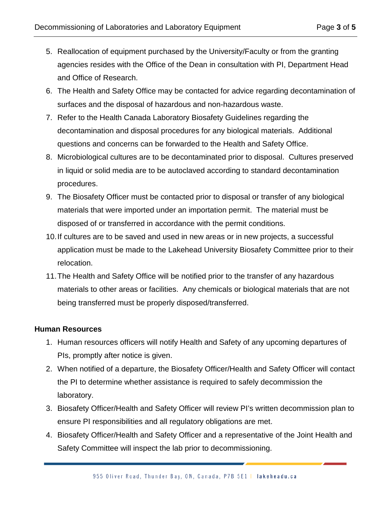- 5. Reallocation of equipment purchased by the University/Faculty or from the granting agencies resides with the Office of the Dean in consultation with PI, Department Head and Office of Research.
- 6. The Health and Safety Office may be contacted for advice regarding decontamination of surfaces and the disposal of hazardous and non-hazardous waste.
- 7. Refer to the Health Canada Laboratory Biosafety Guidelines regarding the decontamination and disposal procedures for any biological materials. Additional questions and concerns can be forwarded to the Health and Safety Office.
- 8. Microbiological cultures are to be decontaminated prior to disposal. Cultures preserved in liquid or solid media are to be autoclaved according to standard decontamination procedures.
- 9. The Biosafety Officer must be contacted prior to disposal or transfer of any biological materials that were imported under an importation permit. The material must be disposed of or transferred in accordance with the permit conditions.
- 10.If cultures are to be saved and used in new areas or in new projects, a successful application must be made to the Lakehead University Biosafety Committee prior to their relocation.
- 11.The Health and Safety Office will be notified prior to the transfer of any hazardous materials to other areas or facilities. Any chemicals or biological materials that are not being transferred must be properly disposed/transferred.

## **Human Resources**

- 1. Human resources officers will notify Health and Safety of any upcoming departures of PIs, promptly after notice is given.
- 2. When notified of a departure, the Biosafety Officer/Health and Safety Officer will contact the PI to determine whether assistance is required to safely decommission the laboratory.
- 3. Biosafety Officer/Health and Safety Officer will review PI's written decommission plan to ensure PI responsibilities and all regulatory obligations are met.
- 4. Biosafety Officer/Health and Safety Officer and a representative of the Joint Health and Safety Committee will inspect the lab prior to decommissioning.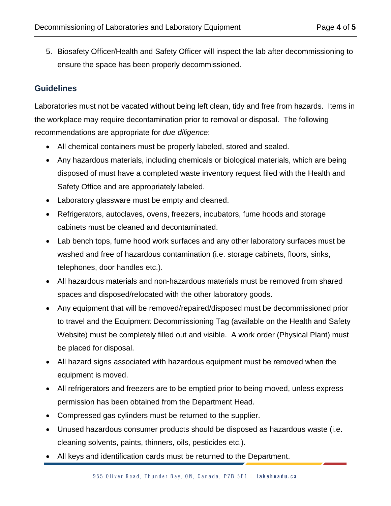5. Biosafety Officer/Health and Safety Officer will inspect the lab after decommissioning to ensure the space has been properly decommissioned.

# **Guidelines**

Laboratories must not be vacated without being left clean, tidy and free from hazards. Items in the workplace may require decontamination prior to removal or disposal. The following recommendations are appropriate for *due diligence*:

- All chemical containers must be properly labeled, stored and sealed.
- Any hazardous materials, including chemicals or biological materials, which are being disposed of must have a completed waste inventory request filed with the Health and Safety Office and are appropriately labeled.
- Laboratory glassware must be empty and cleaned.
- Refrigerators, autoclaves, ovens, freezers, incubators, fume hoods and storage cabinets must be cleaned and decontaminated.
- Lab bench tops, fume hood work surfaces and any other laboratory surfaces must be washed and free of hazardous contamination (i.e. storage cabinets, floors, sinks, telephones, door handles etc.).
- All hazardous materials and non-hazardous materials must be removed from shared spaces and disposed/relocated with the other laboratory goods.
- Any equipment that will be removed/repaired/disposed must be decommissioned prior to travel and the Equipment Decommissioning Tag (available on the Health and Safety Website) must be completely filled out and visible. A work order (Physical Plant) must be placed for disposal.
- All hazard signs associated with hazardous equipment must be removed when the equipment is moved.
- All refrigerators and freezers are to be emptied prior to being moved, unless express permission has been obtained from the Department Head.
- Compressed gas cylinders must be returned to the supplier.
- Unused hazardous consumer products should be disposed as hazardous waste (i.e. cleaning solvents, paints, thinners, oils, pesticides etc.).
- All keys and identification cards must be returned to the Department.